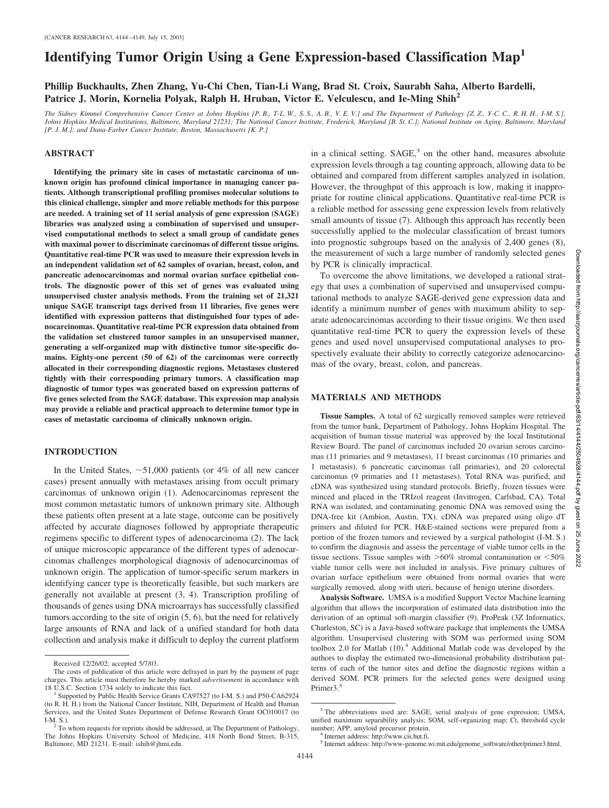# **Identifying Tumor Origin Using a Gene Expression-based Classification Map<sup>1</sup>**

## **Phillip Buckhaults, Zhen Zhang, Yu-Chi Chen, Tian-Li Wang, Brad St. Croix, Saurabh Saha, Alberto Bardelli, Patrice J. Morin, Kornelia Polyak, Ralph H. Hruban, Victor E. Velculescu, and Ie-Ming Shih2**

*The Sidney Kimmel Comprehensive Cancer Center at Johns Hopkins [P. B., T-L. W., S. S., A. B., V. E. V.] and The Department of Pathology [Z. Z., Y-C. C., R. H. H., I-M. S.], Johns Hopkins Medical Institutions, Baltimore, Maryland 21231; The National Cancer Institute, Frederick, Maryland [B. St. C.]; National Institute on Aging, Baltimore, Maryland [P. J. M.]; and Dana-Farber Cancer Institute, Boston, Massachusetts [K. P.]*

#### **ABSTRACT**

**Identifying the primary site in cases of metastatic carcinoma of unknown origin has profound clinical importance in managing cancer patients. Although transcriptional profiling promises molecular solutions to this clinical challenge, simpler and more reliable methods for this purpose are needed. A training set of 11 serial analysis of gene expression (SAGE) libraries was analyzed using a combination of supervised and unsupervised computational methods to select a small group of candidate genes with maximal power to discriminate carcinomas of different tissue origins. Quantitative real-time PCR was used to measure their expression levels in an independent validation set of 62 samples of ovarian, breast, colon, and pancreatic adenocarcinomas and normal ovarian surface epithelial controls. The diagnostic power of this set of genes was evaluated using unsupervised cluster analysis methods. From the training set of 21,321 unique SAGE transcript tags derived from 11 libraries, five genes were identified with expression patterns that distinguished four types of adenocarcinomas. Quantitative real-time PCR expression data obtained from the validation set clustered tumor samples in an unsupervised manner, generating a self-organized map with distinctive tumor site-specific domains. Eighty-one percent (50 of 62) of the carcinomas were correctly allocated in their corresponding diagnostic regions. Metastases clustered tightly with their corresponding primary tumors. A classification map diagnostic of tumor types was generated based on expression patterns of five genes selected from the SAGE database. This expression map analysis may provide a reliable and practical approach to determine tumor type in cases of metastatic carcinoma of clinically unknown origin.**

#### **INTRODUCTION**

In the United States,  $\sim$  51,000 patients (or 4% of all new cancer cases) present annually with metastases arising from occult primary carcinomas of unknown origin (1). Adenocarcinomas represent the most common metastatic tumors of unknown primary site. Although these patients often present at a late stage, outcome can be positively affected by accurate diagnoses followed by appropriate therapeutic regimens specific to different types of adenocarcinoma (2). The lack of unique microscopic appearance of the different types of adenocarcinomas challenges morphological diagnosis of adenocarcinomas of unknown origin. The application of tumor-specific serum markers in identifying cancer type is theoretically feasible, but such markers are generally not available at present (3, 4). Transcription profiling of thousands of genes using DNA microarrays has successfully classified tumors according to the site of origin (5, 6), but the need for relatively large amounts of RNA and lack of a unified standard for both data collection and analysis make it difficult to deploy the current platform in a clinical setting.  $SAGE<sup>3</sup>$  on the other hand, measures absolute expression levels through a tag counting approach, allowing data to be obtained and compared from different samples analyzed in isolation. However, the throughput of this approach is low, making it inappropriate for routine clinical applications. Quantitative real-time PCR is a reliable method for assessing gene expression levels from relatively small amounts of tissue (7). Although this approach has recently been successfully applied to the molecular classification of breast tumors into prognostic subgroups based on the analysis of 2,400 genes (8), the measurement of such a large number of randomly selected genes by PCR is clinically impractical.

To overcome the above limitations, we developed a rational strategy that uses a combination of supervised and unsupervised computational methods to analyze SAGE-derived gene expression data and identify a minimum number of genes with maximum ability to separate adenocarcinomas according to their tissue origins. We then used quantitative real-time PCR to query the expression levels of these genes and used novel unsupervised computational analyses to prospectively evaluate their ability to correctly categorize adenocarcinomas of the ovary, breast, colon, and pancreas.

## **MATERIALS AND METHODS**

**Tissue Samples.** A total of 62 surgically removed samples were retrieved from the tumor bank, Department of Pathology, Johns Hopkins Hospital. The acquisition of human tissue material was approved by the local Institutional Review Board. The panel of carcinomas included 20 ovarian serous carcinomas (11 primaries and 9 metastases), 11 breast carcinomas (10 primaries and 1 metastasis), 6 pancreatic carcinomas (all primaries), and 20 colorectal carcinomas (9 primaries and 11 metastases). Total RNA was purified, and cDNA was synthesized using standard protocols. Briefly, frozen tissues were minced and placed in the TRIzol reagent (Invitrogen, Carlsbad, CA). Total RNA was isolated, and contaminating genomic DNA was removed using the DNA-free kit (Ambion, Austin, TX). cDNA was prepared using oligo dT primers and diluted for PCR. H&E-stained sections were prepared from a portion of the frozen tumors and reviewed by a surgical pathologist (I-M. S.) to confirm the diagnosis and assess the percentage of viable tumor cells in the tissue sections. Tissue samples with  $> 60\%$  stromal contamination or  $< 50\%$ viable tumor cells were not included in analysis. Five primary cultures of ovarian surface epithelium were obtained from normal ovaries that were surgically removed, along with uteri, because of benign uterine disorders.

**Analysis Software.** UMSA is a modified Support Vector Machine learning algorithm that allows the incorporation of estimated data distribution into the derivation of an optimal soft-margin classifier (9). ProPeak (3Z Informatics, Charleston, SC) is a Java-based software package that implements the UMSA algorithm. Unsupervised clustering with SOM was performed using SOM toolbox 2.0 for Matlab (10).4 Additional Matlab code was developed by the authors to display the estimated two-dimensional probability distribution patterns of each of the tumor sites and define the diagnostic regions within a derived SOM. PCR primers for the selected genes were designed using Primer3.<sup>5</sup>

Received 12/26/02; accepted 5/7/03.

The costs of publication of this article were defrayed in part by the payment of page charges. This article must therefore be hereby marked *advertisement* in accordance with 18 U.S.C. Section 1734 solely to indicate this fact.<br><sup>1</sup> Supported by Public Health Service Grants CA97527 (to I-M. S.) and P50-CA62924

<sup>(</sup>to R. H. H.) from the National Cancer Institute, NIH, Department of Health and Human Services, and the United States Department of Defense Research Grant OC010017 (to I-M. S.). <sup>2</sup> To whom requests for reprints should be addressed, at The Department of Pathology,

The Johns Hopkins University School of Medicine, 418 North Bond Street, B-315, Baltimore, MD 21231. E-mail: ishih@jhmi.edu.

<sup>3</sup> The abbreviations used are: SAGE, serial analysis of gene expression; UMSA, unified maximum separability analysis; SOM, self-organizing map; Ct, threshold cycle number: APP, amyloid precursor protein.

<sup>&</sup>lt;sup>4</sup> Internet address: http://www.cis.hut.fi.

<sup>5</sup> Internet address: http://www-genome.wi.mit.edu/genome\_software/other/primer3.html.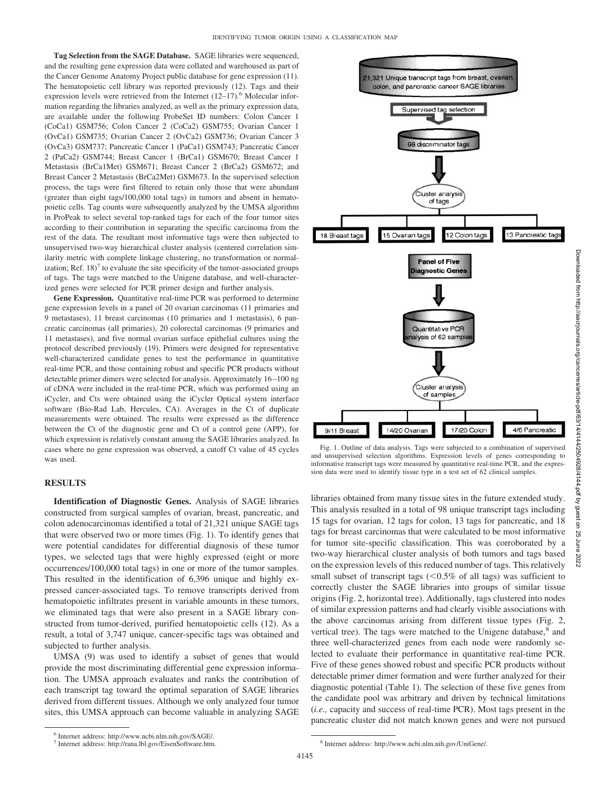**Tag Selection from the SAGE Database.** SAGE libraries were sequenced, and the resulting gene expression data were collated and warehoused as part of the Cancer Genome Anatomy Project public database for gene expression (11). The hematopoietic cell library was reported previously (12). Tags and their expression levels were retrieved from the Internet  $(12-17)$ .<sup>6</sup> Molecular information regarding the libraries analyzed, as well as the primary expression data, are available under the following ProbeSet ID numbers: Colon Cancer 1 (CoCa1) GSM756; Colon Cancer 2 (CoCa2) GSM755; Ovarian Cancer 1 (OvCa1) GSM735; Ovarian Cancer 2 (OvCa2) GSM736; Ovarian Cancer 3 (OvCa3) GSM737; Pancreatic Cancer 1 (PaCa1) GSM743; Pancreatic Cancer 2 (PaCa2) GSM744; Breast Cancer 1 (BrCa1) GSM670; Breast Cancer 1 Metastasis (BrCa1Met) GSM671; Breast Cancer 2 (BrCa2) GSM672; and Breast Cancer 2 Metastasis (BrCa2Met) GSM673. In the supervised selection process, the tags were first filtered to retain only those that were abundant (greater than eight tags/100,000 total tags) in tumors and absent in hematopoietic cells. Tag counts were subsequently analyzed by the UMSA algorithm in ProPeak to select several top-ranked tags for each of the four tumor sites according to their contribution in separating the specific carcinoma from the rest of the data. The resultant most informative tags were then subjected to unsupervised two-way hierarchical cluster analysis (centered correlation similarity metric with complete linkage clustering, no transformation or normalization; Ref.  $18$ <sup> $7$ </sup> to evaluate the site specificity of the tumor-associated groups of tags. The tags were matched to the Unigene database, and well-characterized genes were selected for PCR primer design and further analysis.

**Gene Expression.** Quantitative real-time PCR was performed to determine gene expression levels in a panel of 20 ovarian carcinomas (11 primaries and 9 metastases), 11 breast carcinomas (10 primaries and 1 metastasis), 6 pancreatic carcinomas (all primaries), 20 colorectal carcinomas (9 primaries and 11 metastases), and five normal ovarian surface epithelial cultures using the protocol described previously (19). Primers were designed for representative well-characterized candidate genes to test the performance in quantitative real-time PCR, and those containing robust and specific PCR products without detectable primer dimers were selected for analysis. Approximately 16 –100 ng of cDNA were included in the real-time PCR, which was performed using an iCycler, and Cts were obtained using the iCycler Optical system interface software (Bio-Rad Lab, Hercules, CA). Averages in the Ct of duplicate measurements were obtained. The results were expressed as the difference between the Ct of the diagnostic gene and Ct of a control gene (APP), for which expression is relatively constant among the SAGE libraries analyzed. In cases where no gene expression was observed, a cutoff Ct value of 45 cycles was used.

#### **RESULTS**

**Identification of Diagnostic Genes.** Analysis of SAGE libraries constructed from surgical samples of ovarian, breast, pancreatic, and colon adenocarcinomas identified a total of 21,321 unique SAGE tags that were observed two or more times (Fig. 1). To identify genes that were potential candidates for differential diagnosis of these tumor types, we selected tags that were highly expressed (eight or more occurrences/100,000 total tags) in one or more of the tumor samples. This resulted in the identification of 6,396 unique and highly expressed cancer-associated tags. To remove transcripts derived from hematopoietic infiltrates present in variable amounts in these tumors, we eliminated tags that were also present in a SAGE library constructed from tumor-derived, purified hematopoietic cells (12). As a result, a total of 3,747 unique, cancer-specific tags was obtained and subjected to further analysis.

UMSA (9) was used to identify a subset of genes that would provide the most discriminating differential gene expression information. The UMSA approach evaluates and ranks the contribution of each transcript tag toward the optimal separation of SAGE libraries derived from different tissues. Although we only analyzed four tumor sites, this UMSA approach can become valuable in analyzing SAGE



Downloaded from http://aacrjournals.org/cancerres/article-pdf/63/14/4144/2504928/4144.pdf by guest on 25 June 20220ownloaded from http://aacrjournals.org/cancerres/article-pdf/63/14/4142504928/4144.pdf by guest on

25

Fig. 1. Outline of data analysis. Tags were subjected to a combination of supervised and unsupervised selection algorithms. Expression levels of genes corresponding to informative transcript tags were measured by quantitative real-time PCR, and the expression data were used to identify tissue type in a test set of 62 clinical samples.

libraries obtained from many tissue sites in the future extended study. This analysis resulted in a total of 98 unique transcript tags including 15 tags for ovarian, 12 tags for colon, 13 tags for pancreatic, and 18 tags for breast carcinomas that were calculated to be most informative for tumor site-specific classification. This was corroborated by a two-way hierarchical cluster analysis of both tumors and tags based on the expression levels of this reduced number of tags. This relatively small subset of transcript tags  $(< 0.5\%$  of all tags) was sufficient to correctly cluster the SAGE libraries into groups of similar tissue origins (Fig. 2, horizontal tree). Additionally, tags clustered into nodes of similar expression patterns and had clearly visible associations with the above carcinomas arising from different tissue types (Fig. 2, vertical tree). The tags were matched to the Unigene database,<sup>8</sup> and three well-characterized genes from each node were randomly selected to evaluate their performance in quantitative real-time PCR. Five of these genes showed robust and specific PCR products without detectable primer dimer formation and were further analyzed for their diagnostic potential (Table 1). The selection of these five genes from the candidate pool was arbitrary and driven by technical limitations (*i.e.,* capacity and success of real-time PCR). Most tags present in the pancreatic cluster did not match known genes and were not pursued

<sup>6</sup> Internet address: http://www.ncbi.nlm.nih.gov/SAGE/.

<sup>7</sup> Internet address: http://rana.lbl.gov/EisenSoftware.htm. <sup>8</sup> Internet address: http://www.ncbi.nlm.nih.gov/UniGene/.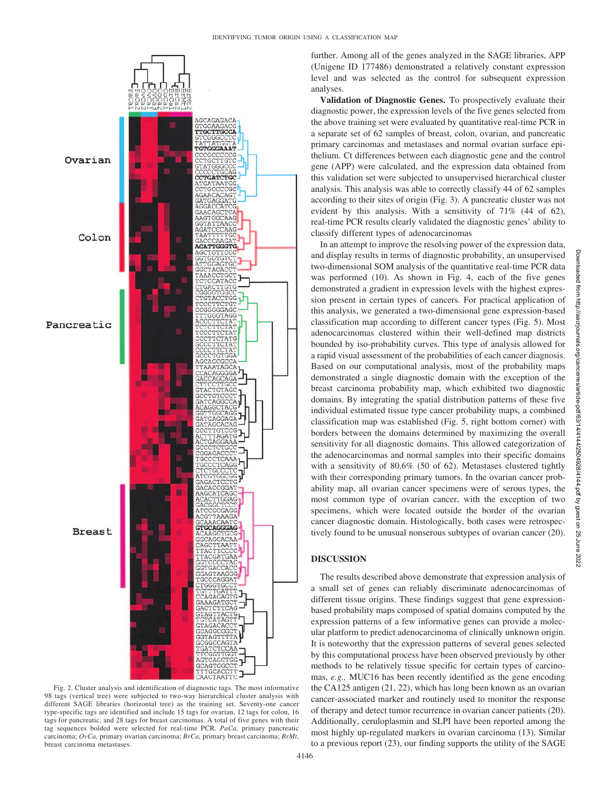

Fig. 2. Cluster analysis and identification of diagnostic tags. The most informative 98 tags (vertical tree) were subjected to two-way hierarchical cluster analysis with different SAGE libraries (horizontal tree) as the training set. Seventy-one cancer type-specific tags are identified and include 15 tags for ovarian, 12 tags for colon, 16 tags for pancreatic, and 28 tags for breast carcinomas. A total of five genes with their tag sequences bolded were selected for real-time PCR. *PaCa,* primary pancreatic carcinoma; *OvCa,* primary ovarian carcinoma; *BrCa,* primary breast carcinoma; *BrMt,* breast carcinoma metastases.

further. Among all of the genes analyzed in the SAGE libraries, APP (Unigene ID 177486) demonstrated a relatively constant expression level and was selected as the control for subsequent expression analyses.

**Validation of Diagnostic Genes.** To prospectively evaluate their diagnostic power, the expression levels of the five genes selected from the above training set were evaluated by quantitative real-time PCR in a separate set of 62 samples of breast, colon, ovarian, and pancreatic primary carcinomas and metastases and normal ovarian surface epithelium. Ct differences between each diagnostic gene and the control gene (APP) were calculated, and the expression data obtained from this validation set were subjected to unsupervised hierarchical cluster analysis. This analysis was able to correctly classify 44 of 62 samples according to their sites of origin (Fig. 3). A pancreatic cluster was not evident by this analysis. With a sensitivity of 71% (44 of 62), real-time PCR results clearly validated the diagnostic genes' ability to classify different types of adenocarcinomas

In an attempt to improve the resolving power of the expression data, and display results in terms of diagnostic probability, an unsupervised two-dimensional SOM analysis of the quantitative real-time PCR data was performed (10). As shown in Fig. 4, each of the five genes demonstrated a gradient in expression levels with the highest expression present in certain types of cancers. For practical application of this analysis, we generated a two-dimensional gene expression-based classification map according to different cancer types (Fig. 5). Most adenocarcinomas clustered within their well-defined map districts bounded by iso-probability curves. This type of analysis allowed for a rapid visual assessment of the probabilities of each cancer diagnosis. Based on our computational analysis, most of the probability maps demonstrated a single diagnostic domain with the exception of the breast carcinoma probability map, which exhibited two diagnostic domains. By integrating the spatial distribution patterns of these five individual estimated tissue type cancer probability maps, a combined classification map was established (Fig. 5, right bottom corner) with borders between the domains determined by maximizing the overall sensitivity for all diagnostic domains. This allowed categorization of the adenocarcinomas and normal samples into their specific domains with a sensitivity of 80.6% (50 of 62). Metastases clustered tightly with their corresponding primary tumors. In the ovarian cancer probability map, all ovarian cancer specimens were of serous types, the most common type of ovarian cancer, with the exception of two specimens, which were located outside the border of the ovarian cancer diagnostic domain. Histologically, both cases were retrospectively found to be unusual nonserous subtypes of ovarian cancer (20).

### **DISCUSSION**

The results described above demonstrate that expression analysis of a small set of genes can reliably discriminate adenocarcinomas of different tissue origins. These findings suggest that gene expressionbased probability maps composed of spatial domains computed by the expression patterns of a few informative genes can provide a molecular platform to predict adenocarcinoma of clinically unknown origin. It is noteworthy that the expression patterns of several genes selected by this computational process have been observed previously by other methods to be relatively tissue specific for certain types of carcinomas, *e.g.,* MUC16 has been recently identified as the gene encoding the CA125 antigen (21, 22), which has long been known as an ovarian cancer-associated marker and routinely used to monitor the response of therapy and detect tumor recurrence in ovarian cancer patients (20). Additionally, ceruloplasmin and SLPI have been reported among the most highly up-regulated markers in ovarian carcinoma (13). Similar to a previous report (23), our finding supports the utility of the SAGE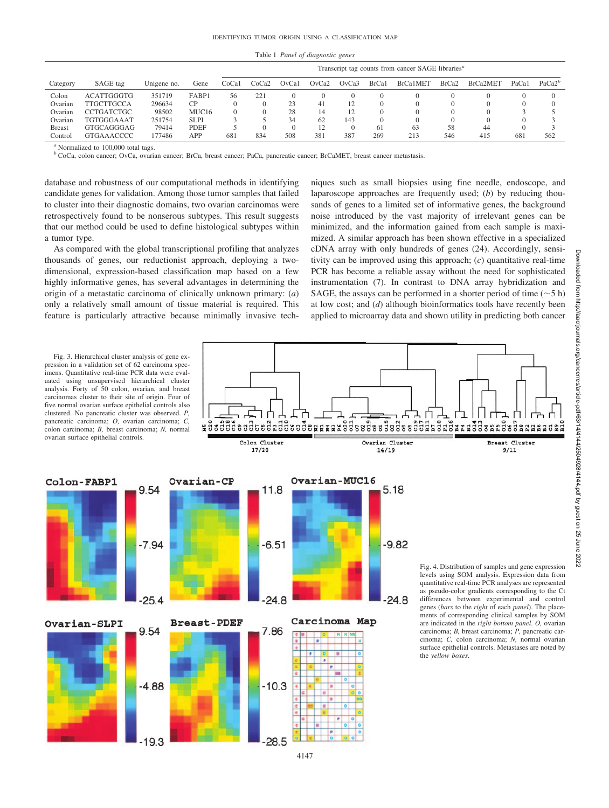Table 1 *Panel of diagnostic genes*

|               |                   |             |                   | Transcript tag counts from cancer SAGE libraries <sup>a</sup> |              |       |        |          |       |          |                   |                       |       |                    |
|---------------|-------------------|-------------|-------------------|---------------------------------------------------------------|--------------|-------|--------|----------|-------|----------|-------------------|-----------------------|-------|--------------------|
| Category      | SAGE tag          | Unigene no. | Gene              | CoCal                                                         | CoCa2        | OvCa1 | OvCa2  | OvCa3    | BrCa1 | BrCa1MET | BrCa <sub>2</sub> | BrCa <sub>2</sub> MET | PaCal | PaCa2 <sup>b</sup> |
| Colon         | <b>ACATTGGGTG</b> | 351719      | FABP1             | 56                                                            | $22^{\circ}$ |       |        | $\Omega$ |       |          |                   |                       |       |                    |
| Ovarian       | <b>TTGCTTGCCA</b> | 296634      | CР                |                                                               |              | 23    | $^{4}$ | 12       |       |          |                   |                       |       |                    |
| Ovarian       | <b>CCTGATCTGC</b> | 98502       | MUC <sub>16</sub> |                                                               |              | 28    | 14     | 12       |       |          |                   |                       |       |                    |
| Ovarian       | <b>TGTGGGAAAT</b> | 251754      | <b>SLPI</b>       |                                                               |              | 34    | 62     | 143      |       |          |                   |                       |       |                    |
| <b>Breast</b> | GTGCAGGGAG        | 79414       | <b>PDEF</b>       |                                                               |              |       |        | $\Omega$ | 61    | 63       | 58                | 44                    |       |                    |
| Control       | <b>GTGAAACCCC</b> | 177486      | APP               | 681                                                           | 834          | 508   | 381    | 387      | 269   | 213      | 546               | 415                   | 681   | 562                |

*<sup>a</sup>* Normalized to 100,000 total tags.

*<sup>b</sup>* CoCa, colon cancer; OvCa, ovarian cancer; BrCa, breast cancer; PaCa, pancreatic cancer; BrCaMET, breast cancer metastasis.

database and robustness of our computational methods in identifying candidate genes for validation. Among those tumor samples that failed to cluster into their diagnostic domains, two ovarian carcinomas were retrospectively found to be nonserous subtypes. This result suggests that our method could be used to define histological subtypes within a tumor type.

As compared with the global transcriptional profiling that analyzes thousands of genes, our reductionist approach, deploying a twodimensional, expression-based classification map based on a few highly informative genes, has several advantages in determining the origin of a metastatic carcinoma of clinically unknown primary: (*a*) only a relatively small amount of tissue material is required. This feature is particularly attractive because minimally invasive techniques such as small biopsies using fine needle, endoscope, and laparoscope approaches are frequently used; (*b*) by reducing thousands of genes to a limited set of informative genes, the background noise introduced by the vast majority of irrelevant genes can be minimized, and the information gained from each sample is maximized. A similar approach has been shown effective in a specialized cDNA array with only hundreds of genes (24). Accordingly, sensitivity can be improved using this approach; (*c*) quantitative real-time PCR has become a reliable assay without the need for sophisticated instrumentation (7). In contrast to DNA array hybridization and SAGE, the assays can be performed in a shorter period of time  $(\sim 5 h)$ at low cost; and (*d*) although bioinformatics tools have recently been applied to microarray data and shown utility in predicting both cancer

Fig. 3. Hierarchical cluster analysis of gene expression in a validation set of 62 carcinoma specimens. Quantitative real-time PCR data were evaluated using unsupervised hierarchical cluster analysis. Forty of 50 colon, ovarian, and breast carcinomas cluster to their site of origin. Four of five normal ovarian surface epithelial controls also clustered. No pancreatic cluster was observed. *P,* pancreatic carcinoma; *O,* ovarian carcinoma; *C,* colon carcinoma; *B,* breast carcinoma; *N,* normal

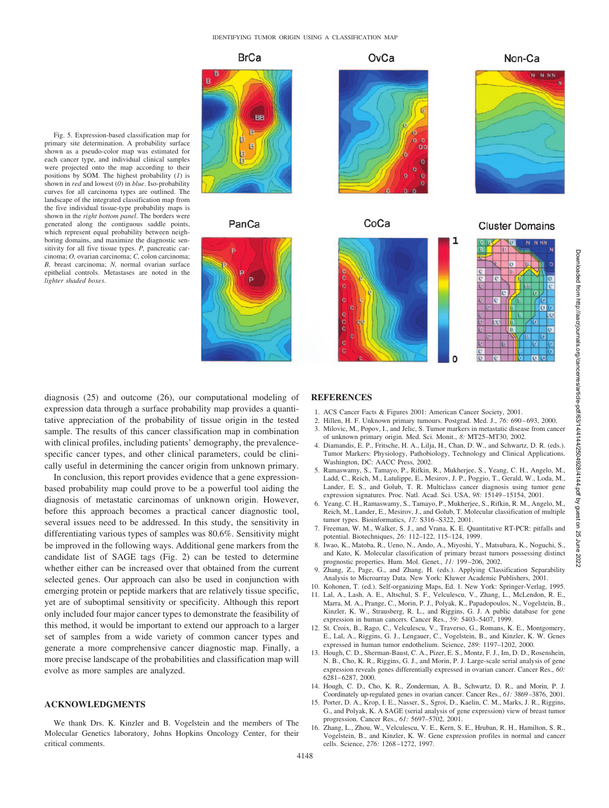**BrCa** 

PanCa



Fig. 5. Expression-based classification map for primary site determination. A probability surface shown as a pseudo-color map was estimated for each cancer type, and individual clinical samples were projected onto the map according to their positions by SOM. The highest probability (*1*) is shown in *red* and lowest (*0*) in *blue*. Iso-probability curves for all carcinoma types are outlined. The landscape of the integrated classification map from the five individual tissue-type probability maps is shown in the *right bottom panel*. The borders were generated along the contiguous saddle points, which represent equal probability between neighboring domains, and maximize the diagnostic sensitivity for all five tissue types. *P,* pancreatic carcinoma; *O,* ovarian carcinoma; *C,* colon carcinoma; *B,* breast carcinoma; *N,* normal ovarian surface epithelial controls. Metastases are noted in the *lighter shaded boxes*.

diagnosis (25) and outcome (26), our computational modeling of expression data through a surface probability map provides a quantitative appreciation of the probability of tissue origin in the tested sample. The results of this cancer classification map in combination with clinical profiles, including patients' demography, the prevalencespecific cancer types, and other clinical parameters, could be clinically useful in determining the cancer origin from unknown primary.

In conclusion, this report provides evidence that a gene expressionbased probability map could prove to be a powerful tool aiding the diagnosis of metastatic carcinomas of unknown origin. However, before this approach becomes a practical cancer diagnostic tool, several issues need to be addressed. In this study, the sensitivity in differentiating various types of samples was 80.6%. Sensitivity might be improved in the following ways. Additional gene markers from the candidate list of SAGE tags (Fig. 2) can be tested to determine whether either can be increased over that obtained from the current selected genes. Our approach can also be used in conjunction with emerging protein or peptide markers that are relatively tissue specific, yet are of suboptimal sensitivity or specificity. Although this report only included four major cancer types to demonstrate the feasibility of this method, it would be important to extend our approach to a larger set of samples from a wide variety of common cancer types and generate a more comprehensive cancer diagnostic map. Finally, a more precise landscape of the probabilities and classification map will evolve as more samples are analyzed.

### **ACKNOWLEDGMENTS**

We thank Drs. K. Kinzler and B. Vogelstein and the members of The Molecular Genetics laboratory, Johns Hopkins Oncology Center, for their critical comments.

#### **REFERENCES**

4148

- 1. ACS Cancer Facts & Figures 2001: American Cancer Society, 2001.
- 2. Hillen, H. F. Unknown primary tumours. Postgrad. Med. J., *76:* 690 693, 2000.
- 3. Milovic, M., Popov, I., and Jelic, S. Tumor markers in metastatic disease from cancer of unknown primary origin. Med. Sci. Monit., *8:* MT25–MT30, 2002.
- 4. Diamandis, E. P., Fritsche, H. A., Lilja, H., Chan, D. W., and Schwartz, D. R. (eds.). Tumor Markers: Physiology, Pathobiology, Technology and Clinical Applications. Washington, DC: AACC Press, 2002.
- 5. Ramaswamy, S., Tamayo, P., Rifkin, R., Mukherjee, S., Yeang, C. H., Angelo, M., Ladd, C., Reich, M., Latulippe, E., Mesirov, J. P., Poggio, T., Gerald, W., Loda, M., Lander, E. S., and Golub, T. R. Multiclass cancer diagnosis using tumor gene expression signatures. Proc. Natl. Acad. Sci. USA, *98:* 15149 –15154, 2001.
- 6. Yeang, C. H., Ramaswamy, S., Tamayo, P., Mukherjee, S., Rifkin, R. M., Angelo, M., Reich, M., Lander, E., Mesirov, J., and Golub, T. Molecular classification of multiple tumor types. Bioinformatics, *17:* S316 –S322, 2001.
- 7. Freeman, W. M., Walker, S. J., and Vrana, K. E. Quantitative RT-PCR: pitfalls and potential. Biotechniques, *26:* 112–122, 115–124, 1999.
- 8. Iwao, K., Matoba, R., Ueno, N., Ando, A., Miyoshi, Y., Matsubara, K., Noguchi, S., and Kato, K. Molecular classification of primary breast tumors possessing distinct prognostic properties. Hum. Mol. Genet., *11:* 199 –206, 2002.
- 9. Zhang, Z., Page, G., and Zhang, H. (eds.). Applying Classification Separability Analysis to Microarray Data. New York: Kluwer Academic Publishers, 2001.
- 10. Kohonen, T. (ed.). Self-organizing Maps, Ed. 1. New York: Springer-Verlag, 1995.
- 11. Lal, A., Lash, A. E., Altschul, S. F., Velculescu, V., Zhang, L., McLendon, R. E., Marra, M. A., Prange, C., Morin, P. J., Polyak, K., Papadopoulos, N., Vogelstein, B., Kinzler, K. W., Strausberg, R. L., and Riggins, G. J. A public database for gene expression in human cancers. Cancer Res., *59:* 5403–5407, 1999.
- 12. St. Croix, B., Rago, C., Velculescu, V., Traverso, G., Romans, K. E., Montgomery, E., Lal, A., Riggins, G. J., Lengauer, C., Vogelstein, B., and Kinzler, K. W. Genes expressed in human tumor endothelium. Science, *289:* 1197–1202, 2000.
- 13. Hough, C. D., Sherman-Baust, C. A., Pizer, E. S., Montz, F. J., Im, D. D., Rosenshein, N. B., Cho, K. R., Riggins, G. J., and Morin, P. J. Large-scale serial analysis of gene expression reveals genes differentially expressed in ovarian cancer. Cancer Res., *60:* 6281– 6287, 2000.
- 14. Hough, C. D., Cho, K. R., Zonderman, A. B., Schwartz, D. R., and Morin, P. J. Coordinately up-regulated genes in ovarian cancer. Cancer Res., *61:* 3869 –3876, 2001.
- 15. Porter, D. A., Krop, I. E., Nasser, S., Sgroi, D., Kaelin, C. M., Marks, J. R., Riggins, G., and Polyak, K. A SAGE (serial analysis of gene expression) view of breast tumor progression. Cancer Res., *61:* 5697–5702, 2001.
- 16. Zhang, L., Zhou, W., Velculescu, V. E., Kern, S. E., Hruban, R. H., Hamilton, S. R., Vogelstein, B., and Kinzler, K. W. Gene expression profiles in normal and cancer cells. Science, *276:* 1268 –1272, 1997.